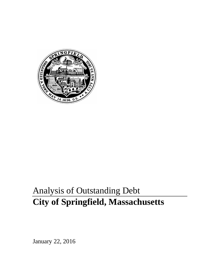

# Analysis of Outstanding Debt **City of Springfield, Massachusetts**

January 22, 2016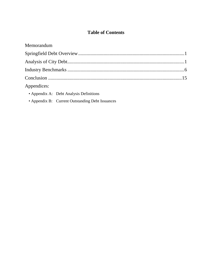# **Table of Contents**

| Memorandum                              |  |
|-----------------------------------------|--|
|                                         |  |
|                                         |  |
|                                         |  |
|                                         |  |
| Appendices:                             |  |
| • Appendix A: Debt Analysis Definitions |  |

• Appendix B: Current Outstanding Debt Issuances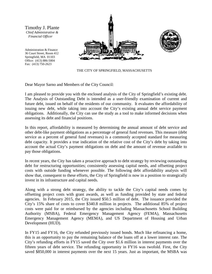Timothy J. Plante *Chief Administrative & Financial Officer*

Administration & Finance 36 Court Street, Room 412 Springfield, MA 01103 Office: (413) 886-5004 Fax: (413) 750-2623





THE CITY OF SPRINGFIELD, MASSACHUSETTS

Dear Mayor Sarno and Members of the City Council:

I am pleased to provide you with the enclosed analysis of the City of Springfield's existing debt. The Analysis of Outstanding Debt is intended as a user-friendly examination of current and future debt, issued on behalf of the residents of our community. It evaluates the affordability of issuing new debt, while taking into account the City's existing annual debt service payment obligations. Additionally, the City can use the study as a tool to make informed decisions when assessing its debt and financial positions.

In this report, affordability is measured by determining the annual amount of debt service and other debt-like payment obligations as a percentage of general fund revenues. This measure (debt service as a percent of general fund revenues) is a commonly accepted standard for measuring debt capacity. It provides a true indication of the relative cost of the City's debt by taking into account the actual City's payment obligations on debt and the amount of revenue available to pay those obligations.

In recent years, the City has taken a proactive approach to debt strategy by reviewing outstanding debt for restructuring opportunities; consistently assessing capital needs, and offsetting project costs with outside funding whenever possible. The following debt affordability analysis will show that, consequent to these efforts, the City of Springfield is now in a position to strategically invest in its infrastructure and capital needs.

Along with a strong debt strategy, the ability to tackle the City's capital needs comes by offsetting project costs with grant awards, as well as funding provided by state and federal agencies. In February 2015, the City issued \$50.5 million of debt. The issuance provided the City's 15% share of costs to cover \$340.8 million in projects. The additional 85% of project costs were paid for or reimbursed by the agencies including Massachusetts School Building Authority (MSBA), Federal Emergency Management Agency (FEMA), Massachusetts Emergency Management Agency (MEMA), and US Department of Housing and Urban Development (HUD).

In FY15 and FY16, the City refunded previously issued bonds. Much like refinancing a home, this is an opportunity to pay the remaining balance of the loans off at a lower interest rate. The City's refunding efforts in FY15 saved the City over \$1.6 million in interest payments over the fifteen years of debt service. The refunding opportunity in FY16 was twofold. First, the City saved \$850,000 in interest payments over the next 15 years. Just as important, the MSBA was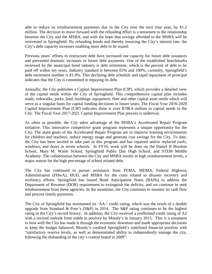able to reduce its reimbursement payments due to the City over the next four year, by \$1.2 million. The decision to move forward with the refunding effort is a testament to the relationship between the City and the MSBA, and with the hope that savings afforded to the MSBA will be reinvested in Springfield. By refunding bonds and thereby lowering the City's interest rate, the City's debt capacity increases enabling more debt to be issued.

Previous years' efforts to restructure debt have increased our capacity for future debt issuances and prevented dramatic increases in future debt payments. One of the established benchmarks reviewed by the municipal bond industry is debt retirement, which is the percent of debt to be paid off within ten years. Industry standard is between 65% and 100%, currently, Springfield's debt retirement number is 81.9%. This declining debt schedule and rapid repayment of principal indicates that the City is committed to repaying its debt.

Annually, the City publishes a Capital Improvement Plan (CIP), which provides a detailed view of the capital needs within the City of Springfield. This comprehensive capital plan includes roads, sidewalks, parks, land, buildings, equipment, fleet and other capital asset needs which will serve as a singular basis for capital funding decisions in future years. The Fiscal Year 2016-2020 Capital Improvement Plan (CIP) indicates there is over \$798.4 million in capital needs in the City. The Fiscal Year 2017-2021 Capital Improvement Plan process is underway.

As often as possible, the City takes advantage of the MSBA's Accelerated Repair Program initiative. This innovative competitive grant program represents a unique opportunity for the City. The main goals of the Accelerated Repair Program are to improve learning environments for children and teachers, reduce energy usage and generate cost savings for the City. To date, the City has been invited to take part in this program and has repaired and/or replaced roofs, windows, and doors in seven schools. In FY16, work will be done on the Daniel B Brunton School, Mary M. Walsh School, Springfield Public Day High School, and STEM Middle Academy. The collaboration between the City and MSBA results in high reimbursement levels, a major reason for the high percentage of school related debt.

The City has continued to pursue assistance from FEMA, MEMA, Federal Highway Administration (FHwA), HUD, and MSBA for the costs related to disaster recovery and resiliency efforts. Springfield has issued Bond Anticipation Notes (BANs) to address the Department of Revenue (DOR) requirement to extinguish the deficits; and we continue to seek reimbursement from these agencies. In the meantime, the City continues to monitor its cash flow and process timely payments.

The City of Springfield has maintained its 'AA-' credit rating, which was the result of a double upgrade from Standard & Poor's  $(S\&P)$  in 2014. The S&P rating continues to be the highest rating in the City's record history. In addition, the City received a reaffirmed credit rating of A2 with a revised outlook from stable to positive by Moody's in January 2015. This is a testament to how well the City has made it through the economic downturn and made appropriate decisions to keep the budget balanced. Moody's credited Springfield's stabilized financial position with "satisfactory reserve levels, as well as demonstrated ability to independently manage the city, following the disbanding of the city's control board in 2009".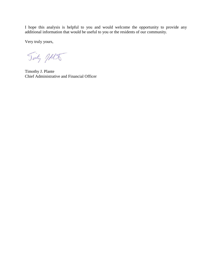I hope this analysis is helpful to you and would welcome the opportunity to provide any additional information that would be useful to you or the residents of our community.

Very truly yours,

Tinty MA

Timothy J. Plante Chief Administrative and Financial Officer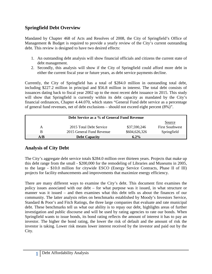# **Springfield Debt Overview**

Mandated by Chapter 468 of Acts and Resolves of 2008, the City of Springfield's Office of Management & Budget is required to provide a yearly review of the City's current outstanding debt. This review is designed to have two desired effects:

- 1. An outstanding debt analysis will show financial officials and citizens the current state of debt management.
- 2. Secondly, this analysis will show if the City of Springfield could afford more debt in either the current fiscal year or future years, as debt service payments decline.

Currently, the City of Springfield has a total of \$284.0 million in outstanding total debt, including \$227.2 million in principal and \$56.8 million in interest. The total debt consists of issuances dating back to fiscal year 2002 up to the most recent debt issuance in 2015. This study will show that Springfield is currently within its debt capacity as mandated by the City's financial ordinances, Chapter 4.44.070, which states "General Fund debt service as a percentage of general fund revenues, net of debt exclusions – should not exceed eight percent (8%)".

| Debt Service as a % of General Fund Revenue |                           |               |                        |
|---------------------------------------------|---------------------------|---------------|------------------------|
|                                             |                           |               | Source                 |
| А                                           | 2015 Total Debt Service   | \$37,590,246  | <b>First Southwest</b> |
| B                                           | 2015 General Fund Revenue | \$604,626,326 | Springfield            |
| A/B                                         | <b>Debt Capacity</b>      | $6.2\%$       |                        |

# **Analysis of City Debt**

The City's aggregate debt service totals \$284.0 million over thirteen years. Projects that make up this debt range from the small - \$200,000 for the remodeling of Libraries and Museums in 2005, to the large - \$10.0 million for citywide ESCO (Energy Service Contracts, Phase II of III) projects for facility enhancements and improvements that maximize energy efficiency.

There are many different ways to examine the City's debt. This document first examines the policy issues associated with our debt – for what purpose was it issued, in what structure or manner was it issued – and then examines what this debt tells us about the finances of our community. The latter analysis relies on benchmarks established by Moody's Investors Service, Standard & Poor's and Fitch Ratings, the three large companies that evaluate and rate municipal debt. These benchmarks tell us what our ability is to repay our debt, highlights areas of further investigation and public discourse and will be used by rating agencies to rate our bonds. When Springfield wants to issue bonds, its bond rating reflects the amount of interest it has to pay an investor. The higher the bond rating, the lower the risk of default and the amount of risk the investor is taking. Lower risk means lower interest received by the investor and paid out by the City.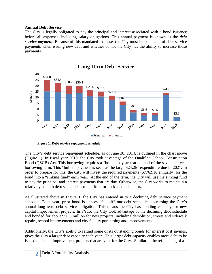#### **Annual Debt Service**

The City is legally obligated to pay the principal and interest associated with a bond issuance before all expenses, including salary obligations. This annual payment is known as the *debt service payment*. Because of this mandated expense, the City must be cognizant of debt service payments when issuing new debt and whether or not the City has the ability to increase those payments.



# **Long Term Debt Service**

**Figure 1: Debt service repayment schedule**

The City's debt service repayment schedule, as of June 30, 2014, is outlined in the chart above (Figure 1). In fiscal year 2010, the City took advantage of the Qualified School Construction Bond (QSCB) Act. This borrowing requires a "bullet" payment at the end of the seventeen year borrowing term. This "bullet" payment is seen as the large \$24.2M expenditure due in 2027. In order to prepare for this, the City will invest the required payments (\$776,910 annually) for the bond into a "sinking fund" each year. At the end of the term, the City will use the sinking fund to pay the principal and interest payments that are due. Otherwise, the City works to maintain a relatively smooth debt schedule as to not front or back load debt costs.

As illustrated above in Figure 1, the City has entered in to a declining debt service payment schedule. Each year, prior bond issuances "fall off" our debt schedule, decreasing the City's annual long term debt service obligation. This means the City has bonding capacity for new capital improvement projects. In FY15, the City took advantage of the declining debt schedule and bonded for about \$50.5 million for new projects, including demolition, streets and sidewalk repairs, school improvements and city facility purchasing and improvements.

Additionally, the City's ability to refund some of its outstanding bonds for interest cost savings, gives the City a larger debt capacity each year. This larger debt capacity enables more debt to be issued to capital improvement projects that are vital for the City. Similar to the refinancing of a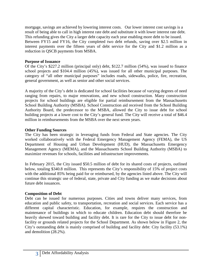mortgage, savings are achieved by lowering interest costs. Our lower interest cost savings is a result of being able to call in high interest rate debt and substitute it with lower interest rate debt. This refunding gives the City a larger debt capacity each year enabling more debt to be issued. Between FY15 and FY16, the City completed two debt refunds, saving over \$2.5 million in interest payments over the fifteen years of debt service for the City and \$1.2 million as a reduction in QSCB payments from MSBA.

#### **Purpose of Issuance**

Of the City's \$227.2 million (principal only) debt, \$122.7 million (54%), was issued to finance school projects and \$104.4 million (45%), was issued for all other municipal purposes. The category of "all other municipal purposes" includes roads, sidewalks, police, fire, recreation, general government, as well as senior and other social services.

A majority of the City's debt is dedicated for school facilities because of varying degrees of need ranging from repairs, to major renovations, and new school construction. Many construction projects for school buildings are eligible for partial reimbursement from the Massachusetts School Building Authority (MSBA). School Construction aid received from the School Building Authority Board, the predecessor to the MSBA, allowed the City to issue debt for school building projects at a lower cost to the City's general fund. The City will receive a total of \$46.4 million in reimbursements from the MSBA over the next seven years.

#### **Other Funding Sources**

The City has been strategic in leveraging funds from Federal and State agencies. The City worked collaboratively with the Federal Emergency Management Agency (FEMA), the US Department of Housing and Urban Development (HUD), the Massachusetts Emergency Management Agency (MEMA), and the Massachusetts School Building Authority (MSBA) to maximize revenues for schools, facilities and infrastructure improvements.

In February 2015, the City issued \$50.5 million of debt for its shared costs of projects, outlined below, totaling \$340.8 million. This represents the City's responsibility of 15% of project costs with the additional 85% being paid for or reimbursed, by the agencies listed above. The City will continue this strategic use of federal, state, private and City funding as we make decisions about future debt issuances.

### **Composition of Debt**

Debt can be issued for numerous purposes. Cities and towns deliver many services, from education and public safety, to transportation, recreation and social services. Each service has a different capital characteristic. Education, for example, requires the construction and maintenance of buildings in which to educate children. Education debt should therefore be heavily skewed toward building and facility debt. It is rare for the City to issue debt for nonfacility or grounds related projects for the School Department. As shown below in Figure 2, the City's outstanding debt is mainly comprised of building and facility debt: City facility (53.1%) and demolition (28.2%).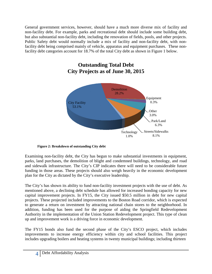General government services, however, should have a much more diverse mix of facility and non-facility debt. For example, parks and recreational debt should include some building debt, but also substantial non-facility debt, including the renovation of fields, pools, and other projects. Public Safety debt would normally include a mix of facility and non-facility debt, with nonfacility debt being comprised mainly of vehicle, apparatus and equipment purchases. These nonfacility debt categories account for 18.7% of the total City debt as shown in Figure 1 below.



# **Outstanding Total Debt City Projects as of June 30, 2015**

**Figure 2: Breakdown of outstanding City debt** 

Examining non-facility debt, the City has begun to make substantial investments in equipment, parks, land purchases, the demolition of blight and condemned buildings, technology, and road and sidewalk infrastructure. The City's CIP indicates there will need to be considerable future funding in those areas. These projects should also weigh heavily in the economic development plan for the City as dictated by the City's executive leadership.

The City's has shown its ability to fund non-facility investment projects with the use of debt. As mentioned above, a declining debt schedule has allowed for increased bonding capacity for new capital improvement projects. In FY15, the City issued \$50.5 million in debt for new capital projects. These projected included improvements to the Boston Road corridor, which is expected to generate a return on investment by attracting national chain stores to the neighborhood. In addition, funding has been used for the purpose of aiding the Springfield Redevelopment Authority in the implementation of the Union Station Redevelopment project. This type of clean up and improvement work is a driving force in economic development.

The FY15 bonds also fund the second phase of the City's ESCO project, which includes improvements to increase energy efficiency within city and school facilities. This project includes upgrading boilers and heating systems in twenty municipal buildings; including thirteen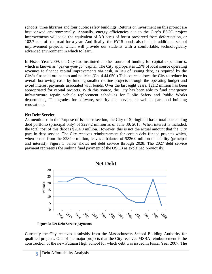schools, three libraries and four public safety buildings. Returns on investment on this project are best viewed environmentally. Annually, energy efficiencies due to the City's ESCO project improvements will yield the equivalent of 3.9 acres of forest preserved from deforestation, or 102.7 cars off the road for a year. And finally, the FY15 bonds also include additional school improvement projects, which will provide our students with a comfortable, technologically advanced environment in which to learn.

In Fiscal Year 2009, the City had instituted another source of funding for capital expenditures, which is known as "pay-as-you-go" capital. The City appropriates 1.5% of local source operating revenues to finance capital improvements via cash, in lieu of issuing debt, as required by the City's financial ordinances and policies (Ch. 4.44.050.) This source allows the City to reduce its overall borrowing costs by funding smaller routine projects through the operating budget and avoid interest payments associated with bonds. Over the last eight years, \$21.2 million has been appropriated for capital projects. With this source, the City has been able to fund emergency infrastructure repair, vehicle replacement schedules for Public Safety and Public Works departments, IT upgrades for software, security and servers, as well as park and building renovations.

### **Net Debt Service**

As mentioned in the Purpose of Issuance section, the City of Springfield has a total outstanding debt portfolio (principal only) of \$227.2 million as of June 30, 2015. When interest is included, the total cost of this debt is \$284.0 million. However, this is not the actual amount that the City pays in debt service. The City receives reimbursement for certain debt funded projects which, when netted from the \$284.0 million, leaves a balance of \$226.0 million of liability (principal and interest). Figure 3 below shows net debt service through 2028. The 2027 debt service payment represents the sinking fund payment of the QSCB as explained previously.



 **Figure 3: Net Debt Service payments** 

Currently the City receives a subsidy from the Massachusetts School Building Authority for qualified projects. One of the major projects that the City receives MSBA reimbursement is the construction of the new Putnam High School for which debt was issued in Fiscal Year 2007. The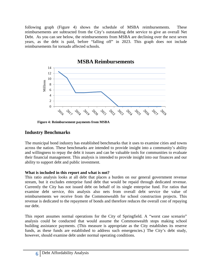following graph (Figure 4) shows the schedule of MSBA reimbursements. These reimbursements are subtracted from the City's outstanding debt service to give an overall Net Debt. As you can see below, the reimbursements from MSBA are declining over the next seven years, as the debt is paid, before "falling off" in 2023. This graph does not include reimbursements for tornado affected schools.



**Figure 4: Reimbursement payments from MSBA** 

# **Industry Benchmarks**

The municipal bond industry has established benchmarks that it uses to examine cities and towns across the nation. These benchmarks are intended to provide insight into a community's ability and willingness to repay the debt it issues and can be valuable tools for communities to evaluate their financial management. This analysis is intended to provide insight into our finances and our ability to support debt and public investment.

## **What is included in this report and what is not?**

This ratio analysis looks at all debt that places a burden on our general government revenue stream, but it excludes enterprise fund debt that would be repaid through dedicated revenue. Currently the City has not issued debt on behalf of its single enterprise fund. For ratios that examine debt service, this analysis also nets from overall debt service the value of reimbursements we receive from the Commonwealth for school construction projects. This revenue is dedicated to the repayment of bonds and therefore reduces the overall cost of repaying our debt.

This report assumes normal operations for the City of Springfield. A "worst case scenario" analysis could be conducted that would assume the Commonwealth stops making school building assistance payments. (This measure is appropriate as the City establishes its reserve funds, as these funds are established to address such emergencies.) The City's debt study, however, should examine debt under normal operating conditions.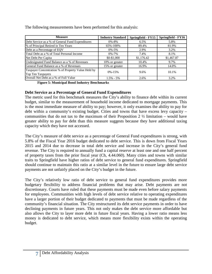The following measurements have been performed for this analysis:

| <b>Measure</b>                                                          | <b>Industry Standard</b> | Springfield - FY15 | Springfield - FY16 |
|-------------------------------------------------------------------------|--------------------------|--------------------|--------------------|
| Debt Service as a % of General Fund Expenditures                        | $0\% - 8\%$              | 6.5%               | 5.8%               |
| % of Principal Retired in Ten Years                                     | 65%-100%                 | 89.4%              | 81.9%              |
| Debt as a Percentage of EQV                                             | $0\% - 5\%$              | 2.9%               | 3.2%               |
| Total Debt as a % of Total Personal Income                              | $0\% - 7\%$              | 7.4%               | 8.1%               |
| Net Debt Per Capita                                                     | \$0-\$1,000              | \$1,176.42         | \$1,467.87         |
| Undesignated Fund Balance as a % of Revenues                            | 10% or greater           | 10.4%              | 9.7%               |
| General Fund Balance as a % of Revenues                                 | 15% or greater           | 16.9%              | 14.0%              |
| Taxpayer Concentration % of Property Value Held by<br>Top Ten Taxpayers | $0\% - 15\%$             | 9.6%               | 10.1%              |
| Overall Net Debt as a % of Full Value                                   | $1.5\% - 5\%$            | 2.6%               | 3.2%               |

**Figure 5: Municipal Bond Industry Benchmarks** 

### **Debt Service as a Percentage of General Fund Expenditures**

The metric used for this benchmark measures the City's ability to finance debt within its current budget, similar to the measurement of household income dedicated to mortgage payments. This is the most immediate measure of ability to pay; however, it only examines the ability to pay for debt within a community's existing budget. Cities and towns that have excess levy capacity – communities that do not tax to the maximum of their Proposition 2  $\frac{1}{2}$  limitation – would have greater ability to pay for debt than this measure suggests because they have additional taxing capacity which they have not accessed.

The City's measure of debt service as a percentage of General Fund expenditures is strong, with 5.8% of the Fiscal Year 2016 budget dedicated to debt service. This is down from Fiscal Years 2015 and 2014 due to decrease in total debt service and increase in the City's general fund revenue. The City is required to annually fund a capital reserve at least one and one half percent of property taxes from the prior fiscal year (Ch, 4.44.060). Many cities and towns with similar traits to Springfield have higher ratios of debt service to general fund expenditures. Springfield should continue to maintain this ratio at a similar level in the future to ensure large debt service payments are not unfairly placed on the City's budget in the future.

The City's relatively low ratio of debt service to general fund expenditures provides more budgetary flexibility to address financial problems that may arise. Debt payments are not discretionary. Courts have ruled that these payments must be made even before salary payments for employees. Communities with high levels of debt service relative to operating expenditures have a larger portion of their budget dedicated to payments that must be made regardless of the community's financial situation. The City restructured its debt service payments in order to have declining payments in future years. This not only makes the debt service more affordable but also allows the City to layer more debt in future fiscal years. Having a lower ratio means less money is dedicated to debt service, which means more flexibility exists within the operating budget.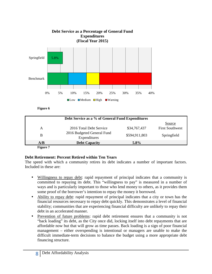

**Figure 6** 

|          | Debt Service as a % of General Fund Expenditures |               |                        |  |  |
|----------|--------------------------------------------------|---------------|------------------------|--|--|
|          |                                                  |               | Source                 |  |  |
| A        | 2016 Total Debt Service                          | \$34,767,437  | <b>First Southwest</b> |  |  |
| B        | 2016 Budgeted General Fund<br>Expenditures       | \$594,911,803 | Springfield            |  |  |
| A/B      | <b>Debt Capacity</b>                             | $5.8\%$       |                        |  |  |
| Figure 7 |                                                  |               |                        |  |  |

## **Debt Retirement: Percent Retired within Ten Years**

The speed with which a community retires its debt indicates a number of important factors. Included in these are:

- Willingness to repay debt: rapid repayment of principal indicates that a community is committed to repaying its debt. This "willingness to pay" is measured in a number of ways and is particularly important to those who lend money to others, as it provides them some proof of the borrower's intention to repay the money it borrowed.
- Ability to repay debt: rapid repayment of principal indicates that a city or town has the financial resources necessary to repay debt quickly. This demonstrates a level of financial stability; communities that are experiencing financial difficulty are unlikely to repay their debt in an accelerated manner.
- Prevention of future problems: rapid debt retirement ensures that a community is not "back loading" its debt, as the City once did, locking itself into debt repayments that are affordable now but that will grow as time passes. Back loading is a sign of poor financial management – either overspending is intentional or managers are unable to make the difficult immediate-term decisions to balance the budget using a more appropriate debt financing structure.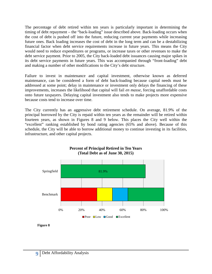The percentage of debt retired within ten years is particularly important in determining the timing of debt repayment – the "back-loading" issue described above. Back-loading occurs when the cost of debt is pushed off into the future, reducing current year payments while increasing future ones. Back loading increases the cost of debt in the long term and can be a destabilizing financial factor when debt service requirements increase in future years. This means the City would need to reduce expenditures or programs, or increase taxes or other revenues to make the debt service payment. Prior to 2005, the City back-loaded debt issuances causing major spikes in its debt service payments in future years. This was accompanied through "front-loading" debt and making a number of other modifications to the City's debt structure.

Failure to invest in maintenance and capital investment, otherwise known as deferred maintenance, can be considered a form of debt back-loading because capital needs must be addressed at some point; delay in maintenance or investment only delays the financing of these improvements, increases the likelihood that capital will fail *en masse*, forcing unaffordable costs onto future taxpayers. Delaying capital investment also tends to make projects more expensive because costs tend to increase over time.

The City currently has an aggressive debt retirement schedule. On average, 81.9% of the principal borrowed by the City is repaid within ten years as the remainder will be retired within fourteen years, as shown in Figures 8 and 9 below. This places the City well within the "excellent" ranking established by bond rating agencies (65% and above). Because of this schedule, the City will be able to borrow additional money to continue investing in its facilities, infrastructure, and other capital projects.



#### **Percent of Principal Retired in Ten Years (Total Debt as of June 30, 2015)**

**Figure 8**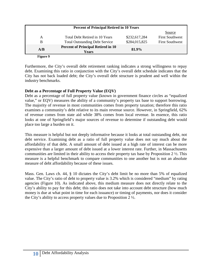| <b>Percent of Principal Retired in 10 Years</b> |                                                    |               |                        |  |
|-------------------------------------------------|----------------------------------------------------|---------------|------------------------|--|
|                                                 |                                                    |               | <b>Source</b>          |  |
| A                                               | Total Debt Retired in 10 Years                     | \$232,617,284 | <b>First Southwest</b> |  |
| B                                               | <b>Total Outstanding Debt Service</b>              | \$284,015,825 | <b>First Southwest</b> |  |
| A/B                                             | <b>Percent of Principal Retired in 10</b><br>Years | 81.9%         |                        |  |

 **Figure 9** 

Furthermore, the City's overall debt retirement ranking indicates a strong willingness to repay debt. Examining this ratio in conjunction with the City's overall debt schedule indicates that the City has not back loaded debt; the City's overall debt structure is prudent and well within the industry benchmarks.

#### **Debt as a Percentage of Full Property Value (EQV)**

Debt as a percentage of full property value (known in government finance circles as "equalized value," or EQV) measures the ability of a community's property tax base to support borrowing. The majority of revenue in most communities comes from property taxation; therefore this ratio examines a community's debt relative to its main revenue source. However, in Springfield, 62% of revenue comes from state aid while 38% comes from local revenue. In essence, this ratio looks at one of Springfield's major sources of revenue to determine if outstanding debt would place too large a burden on it.

This measure is helpful but not deeply informative because it looks at total outstanding debt, not debt service. Examining debt as a ratio of full property value does not say much about the affordability of that debt. A small amount of debt issued at a high rate of interest can be more expensive than a larger amount of debt issued at a lower interest rate. Further, in Massachusetts communities are limited in their ability to access their property tax base by Proposition 2 ½. This measure is a helpful benchmark to compare communities to one another but is not an absolute measure of debt affordability because of these issues.

Mass. Gen. Laws ch. 44, § 10 dictates the City's debt limit be no more than 5% of equalized value. The City's ratio of debt to property value is 3.2% which is considered "medium" by rating agencies (Figure 10). As indicated above, this medium measure does not directly relate to the City's ability to pay for this debt; this ratio does not take into account debt structure (how much money is due at what point in time for each issuance) or timing of payments, nor does it consider the City's ability to access property values due to Proposition 2 ½.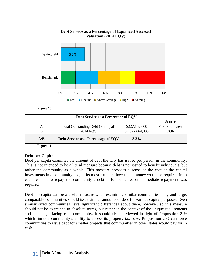

#### **Debt Service as a Percentage of Equalized Assessed Valuation (2014 EQV)**

**Figure 10** 

|                   | Debt Service as a Percentage of EQV       |                 |                        |
|-------------------|-------------------------------------------|-----------------|------------------------|
|                   |                                           |                 | Source                 |
| A                 | <b>Total Outstanding Debt (Principal)</b> | \$227,162,000   | <b>First Southwest</b> |
| B                 | <b>2014 EQV</b>                           | \$7,077,664,000 | <b>DOR</b>             |
| A/B               | Debt Service as a Percentage of EQV       | $3.2\%$         |                        |
| $17.2$ and $11.4$ |                                           |                 |                        |

#### **Figure 11**

#### **Debt per Capita**

Debt per capita examines the amount of debt the City has issued per person in the community. This is not intended to be a literal measure because debt is not issued to benefit individuals, but rather the community as a whole. This measure provides a sense of the cost of the capital investments in a community and, at its most extreme, how much money would be required from each resident to repay the community's debt if for some reason immediate repayment was required.

Debt per capita can be a useful measure when examining similar communities – by and large, comparable communities should issue similar amounts of debt for various capital purposes. Even similar sized communities have significant differences about them, however, so this measure should not be examined in absolute terms, but rather in the context of the unique requirements and challenges facing each community. It should also be viewed in light of Proposition 2 ½ which limits a community's ability to access its property tax base; Proposition  $2 \frac{1}{2}$  can force communities to issue debt for smaller projects that communities in other states would pay for in cash.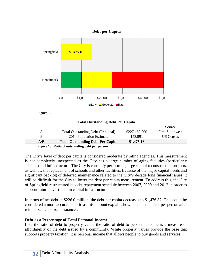



**Figure 12**

|                                                 |                                           |               | Source                 |  |
|-------------------------------------------------|-------------------------------------------|---------------|------------------------|--|
| А                                               | <b>Total Outstanding Debt (Principal)</b> | \$227,162,000 | <b>First Southwest</b> |  |
| B                                               | 2014 Population Estimate                  | 153,991       | US Census              |  |
| A/B                                             | <b>Total Outstanding Debt Per Capita</b>  | \$1,475.16    |                        |  |
| Figure 12. Datio of outstanding daht non nonson |                                           |               |                        |  |

**Figure 13: Ratio of outstanding debt per person**

The City's level of debt per capita is considered moderate by rating agencies. This measurement is not completely unexpected as the City has a large number of aging facilities (particularly schools) and infrastructure. The City is currently performing large school reconstruction projects, as well as, the replacement of schools and other facilities. Because of the major capital needs and significant backlog of deferred maintenance related to the City's decade long financial issues, it will be difficult for the City to lower the debt per capita measurement. To address this, the City of Springfield restructured its debt repayment schedule between 2007, 2009 and 2012 in order to support future investment in capital infrastructure.

In terms of net debt at \$226.0 million, the debt per capita decreases to \$1,476.87. This could be considered a more accurate metric as this amount explains how much actual debt per person after reimbursements from issuances.

### **Debt as a Percentage of Total Personal Income**

Like the ratio of debt to property value, the ratio of debt to personal income is a measure of affordability of the debt issued by a community. While property values provide the base that supports property taxation, it is personal income that allows people to buy goods and services,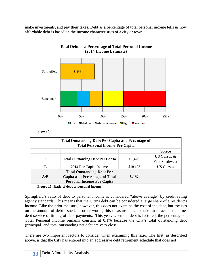make investments, and pay their taxes. Debt as a percentage of total personal income tells us how affordable debt is based on the income characteristics of a city or town.



#### **Total Debt as a Percentage of Total Personal Income (2014 Income Estimate)**

**Figure 14** 

| Total Outstanding Debt Per Capita as a Pecentage of<br><b>Total Personal Income Per Capita</b> |                                          |          |                        |  |
|------------------------------------------------------------------------------------------------|------------------------------------------|----------|------------------------|--|
|                                                                                                |                                          |          | Source                 |  |
|                                                                                                |                                          | \$1,475  | US Census $\&$         |  |
| A                                                                                              | <b>Total Outstanding Debt Per Capita</b> |          | <b>First Southwest</b> |  |
| B                                                                                              | 2014 Per Capita Income                   | \$18,133 | <b>US Census</b>       |  |
|                                                                                                | <b>Total Outstanding Debt Per</b>        |          |                        |  |
| A/B                                                                                            | Capita as a Percentage of Total          | $8.1\%$  |                        |  |
| <b>Personal Income Per Capita</b>                                                              |                                          |          |                        |  |

**Figure 15: Ratio of debt to personal income** 

Springfield's ratio of debt to personal income is considered "above average" by credit rating agency standards. This means that the City's debt can be considered a large share of a resident's income. Like the prior measure, however, this does not examine the cost of the debt, but focuses on the amount of debt issued. In other words, this measure does not take in to account the net debt service or timing of debt payments. This year, when net debt is factored, the percentage of Total Personal Income remains constant at 8.1% because the City's total outstanding debt (principal) and total outstanding net debt are very close.

There are two important factors to consider when examining this ratio. The first, as described above, is that the City has entered into an aggressive debt retirement schedule that does not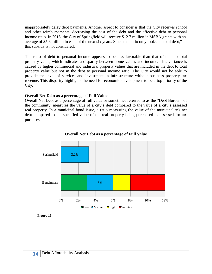inappropriately delay debt payments. Another aspect to consider is that the City receives school and other reimbursements, decreasing the cost of the debt and the effective debt to personal income ratio. In 2015, the City of Springfield will receive \$12.7 million in MSBA grants with an average of \$5.6 million in each of the next six years. Since this ratio only looks at "total debt," this subsidy is not considered.

The ratio of debt to personal income appears to be less favorable than that of debt to total property value, which indicates a disparity between home values and income. This variance is caused by higher commercial and industrial property values that are included in the debt to total property value but not in the debt to personal income ratio. The City would not be able to provide the level of services and investment in infrastructure without business property tax revenue. This disparity highlights the need for economic development to be a top priority of the City.

#### **Overall Net Debt as a percentage of Full Value**

Overall Net Debt as a percentage of full value or sometimes referred to as the "Debt Burden" of the community, measures the value of a city's debt compared to the value of a city's assessed real property. In a municipal bond issue, a ratio measuring the value of the municipality's net debt compared to the specified value of the real property being purchased as assessed for tax purposes.



**Overall Net Debt as a percentage of Full Value**

**Figure 16**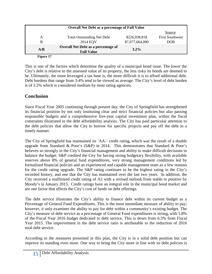| <b>Overall Net Debt as a percentage of Full Value</b> |                                                                 |                 |                        |  |
|-------------------------------------------------------|-----------------------------------------------------------------|-----------------|------------------------|--|
|                                                       |                                                                 |                 | <b>Source</b>          |  |
| А                                                     | <b>Total Outstanding Net Debt</b>                               | \$226,038,818   | <b>First Southwest</b> |  |
| B                                                     | 2014 EQV                                                        | \$7,077,664,000 | DOR                    |  |
| A/B                                                   | <b>Overall Net Debt as a percentage of</b><br><b>Full Value</b> | $3.2\%$         |                        |  |

 **Figure 17** 

This is one of the factors which determine the quality of a municipal bond issue. The lower the City's debt is relative to the assessed value of its property, the less risky its bonds are deemed to be. Ultimately, the more leveraged a tax base is, the more difficult it is to afford additional debt. Debt burdens that range from 3-4% tend to be viewed as average. The City's level of debt burden is of 3.2% which is considered medium by most rating agencies.

# **Conclusion**

Since Fiscal Year 2005 continuing through present day, the City of Springfield has strengthened its financial position by not only instituting clear and strict financial policies but also passing responsible budgets and a comprehensive five-year capital investment plan, within the fiscal constraints illustrated in the debt affordability analysis. The City has paid particular attention to the debt policies that allow the City to borrow for specific projects and pay off the debt in a timely manner.

The City of Springfield has maintained its 'AA-' credit rating, which was the result of a double upgrade from Standard & Poor's  $(S\&P)$  in 2014. This demonstrates that Standard & Poor's believes so strongly in the City's financial management and ability to make difficult decisions to balance the budget. S&P credited the City for having strong budgetary flexibility, with available reserves above 8% of general fund expenditures, very strong management conditions led by formalized financial policies and an experienced and capable management team as a few reasons for the credit rating upgrade. The S&P rating continues to be the highest rating in the City's recorded history, and one that the City has maintained over the last two years. In addition, the City received a reaffirmed credit rating of A2 with a revised outlook from stable to positive by Moody's in January 2015. Credit ratings have an integral role in the municipal bond market and are one factor that affects the City's cost of funds on debt offerings.

The debt service illustrates the City's ability to finance debt within its current budget as a Percentage of General Fund Expenditures. This is the most immediate measure of ability to pay; however, it only examines the ability to pay for debt within a community's existing budget. The City's measure of debt service as a percentage of General Fund expenditures is strong, with 5.8% of the Fiscal Year 2016 budget dedicated to debt service. This is down from 6.5% from Fiscal Year 2015. The improvement in the debt service ratio is attributable to the reduction of 2016 total debt service.

According to the measures presented in this plan, the City is in a solid debt position but can improve its standing even more. One way to bring the City more in line with its debt policies is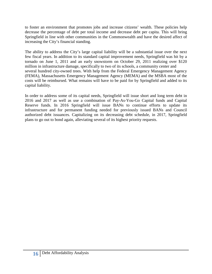to foster an environment that promotes jobs and increase citizens' wealth. These policies help decrease the percentage of debt per total income and decrease debt per capita. This will bring Springfield in line with other communities in the Commonwealth and have the desired affect of increasing the City's financial standing.

The ability to address the City's large capital liability will be a substantial issue over the next few fiscal years. In addition to its standard capital improvement needs, Springfield was hit by a tornado on June 1, 2011 and an early snowstorm on October 29, 2011 realizing over \$120 million in infrastructure damage, specifically to two of its schools, a community center and several hundred city-owned trees. With help from the Federal Emergency Management Agency (FEMA), Massachusetts Emergency Management Agency (MEMA) and the MSBA most of the costs will be reimbursed. What remains will have to be paid for by Springfield and added to its capital liability.

In order to address some of its capital needs, Springfield will issue short and long term debt in 2016 and 2017 as well as use a combination of Pay-As-You-Go Capital funds and Capital Reserve funds. In 2016 Springfield will issue BANs to continue efforts to update its infrastructure and for permanent funding needed for previously issued BANs and Council authorized debt issuances. Capitalizing on its decreasing debt schedule, in 2017, Springfield plans to go out to bond again, alleviating several of its highest priority requests.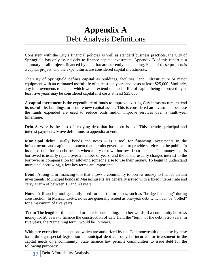# **Appendix A** Debt Analysis Definitions

Consistent with the City's financial policies as well as standard business practices, the City of Springfield has only issued debt to finance capital investment. Appendix B of this report is a summary of all projects financed by debt that are currently outstanding. Each of these projects is a capital project, and the expenditures are considered capital investments.

The City of Springfield defines **capital** as buildings, facilities, land, infrastructure or major equipment with an estimated useful life of at least ten years and costs at least \$25,000. Similarly, any improvements to capital which would extend the useful life of capital being improved by at least five years may be considered capital if it costs at least \$25,000.

A **capital investment** is the expenditure of funds to improve existing City infrastructure, extend its useful life, buildings, or acquire new capital assets. This is considered an investment because the funds expended are used to reduce costs and/or improve services over a multi-year timeframe.

**Debt Service** is the cost of repaying debt that has been issued. This includes principal and interest payments. Move definitions to appendix at end.

**Municipal debt:** usually bonds and notes – is a tool for financing investments in the infrastructure and capital equipment that permits government to provide services to the public. In its most basic form, debt occurs when a city or town borrows from lenders. The money that is borrowed is usually repaid over a number of years, and the lender usually charges interest to the borrower as compensation for allowing someone else to use their money. To begin to understand municipal borrowing, a few key terms are important:

**Bond:** A long-term financing tool that allows a community to borrow money to finance certain investments. Municipal bonds in Massachusetts are generally issued with a fixed interest rate and carry a term of between 10 and 30 years.

**Note:** A financing tool generally used for short-term needs, such as "bridge financing" during construction. In Massachusetts, notes are generally issued as one-year debt which can be "rolled" for a maximum of five years.

**Term:** The length of time a bond or note is outstanding. In other words, if a community borrows money for 20 years to finance the construction of City Hall, the "term" of the debt is 20 years. In five years, the "remaining term" would be 15 years.

With rare exception – exceptions which are authorized by the Commonwealth on a case-by-case basis through special legislation – municipal debt can only be incurred for investment in the capital needs of a community. State finance law permits communities to issue debt for the following purposes: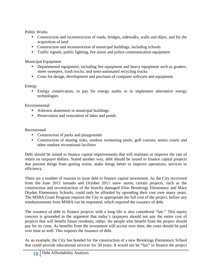Public Works

- Construction and reconstruction of roads, bridges, sidewalks, walls and dikes, and for the acquisition of land
- Construction and reconstruction of municipal buildings, including schools
- Traffic signals, public lighting, fire alarm and police communication equipment

Municipal Equipment

- Departmental equipment, including fire equipment and heavy equipment such as graders, street sweepers, trash trucks, and semi-automated recycling trucks.
- Costs for design, development and purchase of computer software and equipment

# Energy

• Energy conservation, to pay for energy audits or to implement alternative energy technologies

Environmental

- Asbestos abatement in municipal buildings
- Preservation and restoration of lakes and ponds

Recreational

- Construction of parks and playgrounds
- Construction of skating rinks, outdoor swimming pools, golf courses, tennis courts and other outdoor recreational facilities

Debt should be issued to finance capital improvements that will maintain or improve the rate of return on taxpayer dollars. Stated another way, debt should be issued to finance capital projects that prevent things from getting worse, make things better or improve operations, services or efficiency.

There are a number of reasons to issue debt to finance capital investment. As the City recovered from the June 2011 tornado and October 2011 snow storm, certain projects, such as the construction and reconstruction of the heavily damaged Elias Brookings Elementary and Mary Dryden Elementary Schools, could only be afforded by spreading their cost over many years. The MSBA Grant Program requires the City to appropriate the full cost of the project, before any reimbursements from MSBA can be requested, which required the issuance of debt.

The issuance of debt to finance projects with a long life is also considered "fair." This equity concern is grounded in the argument that today's taxpayers should not pay the entire cost of projects that will benefit future residents; rather, the people who benefit from the project should pay for its costs. As benefits from the investment will accrue over time, the costs should be paid over time as well. This requires the issuance of debt.

As an example, the City has bonded for the construction of a new Brookings Elementary School that could provide educational services for 50 years. It would not be "fair" to finance the project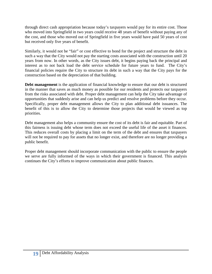through direct cash appropriation because today's taxpayers would pay for its entire cost. Those who moved into Springfield in two years could receive 48 years of benefit without paying any of the cost, and those who moved out of Springfield in five years would have paid 50 years of cost but received only five years of benefit.

Similarly, it would not be "fair" or cost effective to bond for the project and structure the debt in such a way that the City would not pay the starting costs associated with the construction until 20 years from now. In other words, as the City issues debt, it begins paying back the principal and interest as to not back load the debt service schedule for future years to fund. The City's financial policies require the City to structure its debt in such a way that the City pays for the construction based on the depreciation of that building.

**Debt management** is the application of financial knowledge to ensure that our debt is structured in the manner that saves as much money as possible for our residents and protects our taxpayers from the risks associated with debt. Proper debt management can help the City take advantage of opportunities that suddenly arise and can help us predict and resolve problems before they occur. Specifically, proper debt management allows the City to plan additional debt issuances. The benefit of this is to allow the City to determine those projects that would be viewed as top priorities.

Debt management also helps a community ensure the cost of its debt is fair and equitable. Part of this fairness is issuing debt whose term does not exceed the useful life of the asset it finances. This reduces overall costs by placing a limit on the term of the debt and ensures that taxpayers will not be required to pay for assets that no longer exist, and therefore are no longer providing a public benefit.

Proper debt management should incorporate communication with the public to ensure the people we serve are fully informed of the ways in which their government is financed. This analysis continues the City's efforts to improve communication about public finances.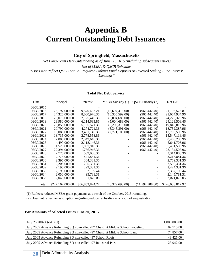# **Appendix B Current Outstanding Debt Issuances**

#### **City of Springfield, Massachusetts**

*Net Long-Term Debt Outstanding as of June 30, 2015 (including subsequent issues)* 

*Net of MSBA & QSCB Subsidies* 

*\*Does Not Reflect QSCB Annual Required Sinking Fund Deposits or Invested Sinking Fund Interest* 

*Earnings\** 

#### **Total Net Debt Service**

| Date       | Principal        | Interest        | MSBA Subsidy (1) | QSCB Subsidy (2)  | Net $D/S$        |
|------------|------------------|-----------------|------------------|-------------------|------------------|
| 06/30/2015 |                  |                 |                  |                   |                  |
| 06/30/2016 | 25,197,000.00    | 9,570,437.21    | (12,694,418.00)  | (966, 442.40)     | 21,106,576.81    |
| 06/30/2017 | 24,326,000.00    | 8,060,976.36    | (10,355,599.00)  | (966, 442.40)     | 21,064,934.96    |
| 06/30/2018 | 23,075,000.00    | 7,125,446.36    | (5,004,683.00)   | (966, 442.40)     | 24,229,320.96    |
| 06/30/2019 | 23,980,000.00    | 6,114,633.86    | (5,004,683.00)   | (966, 442.40)     | 24,123,508.46    |
| 06/30/2020 | 20,855,000.00    | 5,155,571.36    | (5,203,316.00)   | (966, 442.40)     | 19,840,812.96    |
| 06/30/2021 | 20,790,000.00    | 4,274,721.36    | (5,345,891.00)   | (966, 442.40)     | 18,752,387.96    |
| 06/30/2022 | 18,085,000.00    | 3,451,146.36    | (2,771,108.00)   | (966, 442.40)     | 17,798,595.96    |
| 06/30/2023 | 13,735,000.00    | 2,778,558.86    |                  | (966, 442.40)     | 15,547,116.46    |
| 06/30/2024 | 7,085,000.00     | 2,349,646.36    |                  | (966, 442.40)     | 8,468,203.96     |
| 06/30/2025 | 4.490,000.00     | 2,118,146.36    |                  | (966, 442.40)     | 5,641,703.96     |
| 06/30/2026 | 4,520,000.00     | 1,937,946.36    |                  | (966, 442.40)     | 5,491,503.96     |
| 06/30/2027 | 22,394,000.00    | 1,756,946.36    |                  | (966, 442.40)     | 23,184,503.96    |
| 06/30/2028 | 2,775,000.00     | 539,006.36      |                  |                   | 3,314,006.36     |
| 06/30/2029 | 2,775,000.00     | 441,881.36      |                  |                   | 3,216,881.36     |
| 06/30/2030 | 2,395,000.00     | 364, 331. 36    |                  |                   | 2,759,331.36     |
| 06/30/2031 | 2,205,000.00     | 295,331.36      |                  |                   | 2,500,331.36     |
| 06/30/2032 | 2,195,000.00     | 229,331.36      |                  |                   | 2,424,331.36     |
| 06/30/2033 | 2,195,000.00     | 162,109.44      |                  |                   | 2,357,109.44     |
| 06/30/2034 | 2,050,000.00     | 95,781.31       |                  |                   | 2,145,781.31     |
| 06/30/2035 | 2,040,000.00     | 31,875.05       |                  |                   | 2,071,875.05     |
| Total      | \$227,162,000.00 | \$56,853,824.77 | (46,379,698.00)  | (11, 597, 308.80) | \$226,038,817.97 |

(1) Reflects reduced MSBA grant payments as a result of the October, 2015 refunding.

(2) Does not reflect an assumption regarding reduced subsidies as a result of sequestration.

#### **Par Amounts of Selected Issues June 30, 2015**

| July 25 2002 QZAB (I)                                                         | 1,000,000.00 |
|-------------------------------------------------------------------------------|--------------|
| July 2005 Advance Refunding SQ non-called -97 Chestnut Middle School modeling | 82,715.00    |
| July 2005 Advance Refunding SQ non-called -97 Chestnut Middle School Land     | 74,857.00    |
| July 2005 Advance Refunding SQ non-called -97 School Roofs                    | 43,425.00    |
| July 2005 Advance Refunding SQ non-called -97 Industrial Park                 | 28,942.00    |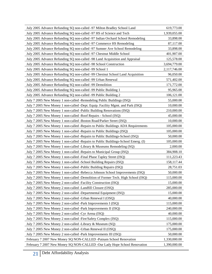| July 2005 Advance Refunding SQ non-called -97 Milton Bradley School Land          | 619,773.00   |
|-----------------------------------------------------------------------------------|--------------|
| July 2005 Advance Refunding SQ non-called -97 HS of Science and Tech              | 1,939,055.00 |
| July 2005 Advance Refunding SQ non-called -97 Indian Orchard School Remodeling    | 33,898.00    |
| July 2005 Advance Refunding SQ non-called -97 Commerce HS Remodeling              | 87,117.00    |
| July 2005 Advance Refunding SQ non-called -97 Sumner Ave School Remodeling        | 33,898.00    |
| July 2005 Advance Refunding SQ non-called -97 Chestnut Middle School              | 401,907.00   |
| July 2005 Advance Refunding SQ non-called -98 Land Acquisition and Appraisal      | 125,578.00   |
| July 2005 Advance Refunding SQ non-called -98 School Construction                 | 3,694,779.00 |
| July 2005 Advance Refunding SQ non-called -99 School 1                            | 2,117,746.00 |
| July 2005 Advance Refunding SQ non-called -99 Chestnut School Land Acquisition    | 96,050.00    |
| July 2005 Advance Refunding SQ non-called -99 Urban Renewal                       | 571,402.00   |
| July 2005 Advance Refunding SQ non-called -99 Demolition                          | 171,772.00   |
| July 2005 Advance Refunding SQ non-called -99 Public Building 1                   | 95,965.00    |
| July 2005 Advance Refunding SQ non-called -99 Public Building 2                   | 106,121.00   |
| July 7 2005 New Money 1 non-called -Remodeling Public Buildings (ISQ)             | 55,000.00    |
| July 7 2005 New Money 1 non-called -Dept. Equip. Facility Mgmt. and Park (ISQ)    | 10,000.00    |
| July 7 2005 New Money 1 non-called -Public Building Renovations (ISQ)             | 210,000.00   |
| July 7 2005 New Money 1 non-called -Roof Repairs - School (ISQ)                   | 45,000.00    |
| July 7 2005 New Money 1 non-called -Boston Road/Parker Street (ISQ)               | 10,000.00    |
| July 7 2005 New Money 1 non-called -Repairs to Public Buildings ADA Requirements  | 105,000.00   |
| July 7 2005 New Money 1 non-called -Repairs to Public Buildings (ISQ)             | 105,000.00   |
| July 7 2005 New Money 1 non-called -Repairs to Public Buildings-School (ISQ)      | 50,000.00    |
| July 7 2005 New Money 1 non-called -Repairs to Public Buildings-School Emerg. (I) | 105,000.00   |
| July 7 2005 New Money 1 non-called -Library & Museums Remodeling (SQ)             | 2,000.00     |
| July 7 2005 New Money 1 non-called -Repairs to Municipal Group (ISQ)              | 384,908.10   |
| July 7 2005 New Money 1 non-called -Final Phase Tapley Street (ISQ)               | 111,223.43   |
| July 7 2005 New Money 1 non-called -School Building Repairs (ISQ)                 | 158,117.44   |
| July 7 2005 New Money 1 non-called -Public Building Repairs (ISQ)                 | 28,751.03    |
| July 7 2005 New Money 1 non-called -Rebecca Johnson School Improvements (ISQ)     | 50,000.00    |
| July 7 2005 New Money 1 non-called -Demolition of Former Tech. High School (ISQ)  | 115,000.00   |
| July 7 2005 New Money 2 non-called -Facility Construction (ISQ)                   | 15,000.00    |
| July 7 2005 New Money 2 non-called -Landfill Closure (OSQ)                        | 285,000.00   |
| July 7 2005 New Money 2 non-called -Departmental Equipment (ISQ)                  | 15,000.00    |
| July 7 2005 New Money 2 non-called -Urban Renewal I (OSQ)                         | 40,000.00    |
| July 7 2005 New Money 2 non-called -Park Improvements I (ISQ)                     | 115,000.00   |
| July 7 2005 New Money 2 non-called -Park Improvements II (ISQ)                    | 240,000.00   |
| July 7 2005 New Money 2 non-called -Cyr Arena (ISQ)                               | 40,000.00    |
| July 7 2005 New Money 2 non-called -Fire/Safety Complex (ISQ)                     | 115,000.00   |
| July 7 2005 New Money 2 non-called -Library & Museum (SQ)                         | 175,000.00   |
| July 7 2005 New Money 2 non-called -Urban Renewal II (OSQ)                        | 175,000.00   |
| July 7 2005 New Money 2 non-called -Park Improvements III (ISQ)                   | 50,000.00    |
| February 7 2007 New Money SQ NON-CALLED -Putnam School Renovation                 | 1,330,000.00 |
| February 7 2007 New Money SQ NON-CALLED -Our Lady Hope School Renovation          | 1,390,000.00 |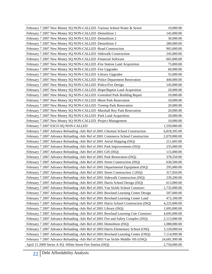| February 7 2007 New Money SQ NON-CALLED - Various School Water & Sewer              | 10,000.00     |
|-------------------------------------------------------------------------------------|---------------|
| February 7 2007 New Money SQ NON-CALLED -Demolition 1                               | 145,000.00    |
| February 7 2007 New Money SQ NON-CALLED -Demolition 2                               | 30,000.00     |
| February 7 2007 New Money SQ NON-CALLED -Demolition 3                               | 280,000.00    |
| February 7 2007 New Money SQ NON-CALLED -Road Construction                          | 965,000.00    |
| February 7 2007 New Money SQ NON-CALLED -Sidewalk Construction                      | 245,000.00    |
| February 7 2007 New Money SQ NON-CALLED - Financial Software                        | 665,000.00    |
| February 7 2007 New Money SQ NON-CALLED -Fire Station Land Acquisition              | 75,000.00     |
| February 7 2007 New Money SQ NON-CALLED -Fire Upgrades                              | 60,000.00     |
| February 7 2007 New Money SQ NON-CALLED -Library Upgrades                           | 55,000.00     |
| February 7 2007 New Money SQ NON-CALLED -Police Department Renovation               | 440,000.00    |
| February 7 2007 New Money SQ NON-CALLED -Police/Fire Design                         | 145,000.00    |
| February 7 2007 New Money SQ NON-CALLED -Hope/Baptist Land Acquisition              | 20,000.00     |
| February 7 2007 New Money SQ NON-CALLED -Greenleaf Park Building Repair             | 10,000.00     |
| February 7 2007 New Money SQ NON-CALLED -Blunt Park Renovation                      | 10,000.00     |
| February 7 2007 New Money SQ NON-CALLED -Treetop Park Renovation                    | 20,000.00     |
| February 7 2007 New Money SQ NON-CALLED -Marshall Roy Park Renovation               | 20,000.00     |
| February 7 2007 New Money SQ NON-CALLED -Park Land Acquisition                      | 20,000.00     |
| February 7 2007 New Money SQ NON-CALLED -Project Management                         | 10,000.00     |
| February 7 2007 ESCO SQ NON-CALLED                                                  | 1,550,000.00  |
| February 7 2007 Advance Refunding -Adv Ref of 2001 Chestnut School Construction     | 6,818,395.00  |
| February 7 2007 Advance Refunding -Adv Ref of 2001 Commerce School Construction     | 2,070,000.00  |
| February 7 2007 Advance Refunding -Adv Ref of 2001 Aerial Mapping (ISQ)             | 211,605.00    |
| February 7 2007 Advance Refunding -Adv Ref of 2001 Park Improvements (ISQ)          | 235,000.00    |
| February 7 2007 Advance Refunding -Adv Ref of 2001 GIS (ISQ)                        | 115,000.00    |
| February 7 2007 Advance Refunding -Adv Ref of 2001 Park Restoration (ISQ)           | 378,550.00    |
| February 7 2007 Advance Refunding -Adv Ref of 2001 Street Construction (ISQ)        | 630,500.00    |
| February 7 2007 Advance Refunding - Adv Ref of 2001 Departmental Equipment (ISQ)    | 295,000.00    |
| February 7 2007 Advance Refunding -Adv Ref of 2001 Street Construction 2 (ISQ)      | 317,050.00    |
| February 7 2007 Advance Refunding -Adv Ref of 2001 Sidewalk Construction (ISQ)      | 239,200.00    |
| February 7 2007 Advance Refunding -Adv Ref of 2001 Harris School Design (ISQ)       | 613,000.00    |
| February 7 2007 Advance Refunding - Adv Ref of 2001 Van Sickle School Construct     | 1,735,000.00  |
| February 7 2007 Advance Refunding -Adv Ref of 2001 Bowland Learning Center Design   | 507,600.00    |
| February 7 2007 Advance Refunding -Adv Ref of 2001 Bowland Learning Center Land     | 472,100.00    |
| February 7 2007 Advance Refunding -Adv Ref of 2001 Harris School Construction (ISQ) | 4,225,000.00  |
| February 7 2007 Advance Refunding -Adv Ref of 2001 Library (ISQ)                    | 1,695,000.00  |
| February 7 2007 Advance Refunding -Adv Ref of 2001 Bowland Learning Cntr Construct  | 4,695,000.00  |
| February 7 2007 Advance Refunding - Adv Ref of 2001 Fire and Safety Complex (ISQ)   | 2,115,000.00  |
| February 7 2007 Advance Refunding -Adv Ref of 2001 Demolition (ISQ)                 | 1,080,000.00  |
| February 7 2007 Advance Refunding -Adv Ref of 2003 Harris Elementary School (OSQ    | 3,120,000.04  |
| February 7 2007 Advance Refunding -Adv Ref of 2003 Bowland Learning Center (OSQ)    | 7,114,999.98  |
| February 7 2007 Advance Refunding -Adv Ref of 2003 Van Sickle Middle/ HS (OSQ)      | 24,681,999.98 |
| April 15 2009 Series A SQ - White Street Fire Station (ISQ)                         | 2,750,000.00  |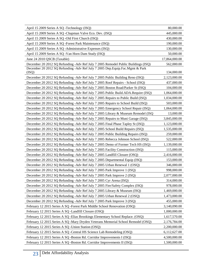| April 15 2009 Series A SQ -Technology (ISQ)                                       | 80,000.00     |
|-----------------------------------------------------------------------------------|---------------|
| April 15 2009 Series A SQ -Chapman Valve Eco. Dev. (ISQ)                          | 445,000.00    |
| April 15 2009 Series A SQ -Old First Church (ISQ)                                 | 430,000.00    |
| April 15 2009 Series A SQ -Forest Park Maintenance (ISQ)                          | 190,000.00    |
| April 15 2009 Series A SQ -Administrative Expenses (ISQ)                          | 130,000.00    |
| April 15 2009 Series A SQ -Van Horn Dam Study (ISQ)                               | 50,000.00     |
| June 24 2010 QSCB (Taxable)                                                       | 17,864,000.00 |
| December 20 2012 SQ Refunding -Adv Ref July 7 2005 Remodel Public Buildings (ISQ) | 562,000.00    |
| December 20 2012 SQ Refunding -Adv Ref July 7 2005 Dep. Equip. Fac. Mgmt & Park   |               |
| (ISQ)                                                                             | 134,000.00    |
| December 20 2012 SQ Refunding -Adv Ref July 7 2005 Public Building Reno (ISQ)     | 2,123,000.00  |
| December 20 2012 SQ Refunding -Adv Ref July 7 2005 Roof Repairs - School (ISQ)    | 437,000.00    |
| December 20 2012 SQ Refunding -Adv Ref July 7 2005 Boston Road/Parker St (ISQ)    | 104,000.00    |
| December 20 2012 SQ Refunding -Adv Ref July 7 2005 Public Build.ADA.Require (ISQ) | 1,064,000.00  |
| December 20 2012 SQ Refunding -Adv Ref July 7 2005 Repairs to Public Build (ISQ)  | 1,034,000.00  |
| December 20 2012 SQ Refunding -Adv Ref July 7 2005 Repairs to School Build (ISQ)  | 503,000.00    |
| December 20 2012 SQ Refunding - Adv Ref July 7 2005 Emergency School Repair (ISQ) | 1,064,000.00  |
| December 20 2012 SQ Refunding -Adv Ref July 7 2005 Library & Museum Remodel (ISQ  | 13,000.00     |
| December 20 2012 SQ Refunding -Adv Ref July 7 2005 Repairs to Muni Garage (ISQ)   | 3,845,000.00  |
| December 20 2012 SQ Refunding -Adv Ref July 7 2005 Final Phase Tapley St (ISQ)    | 1,123,000.00  |
| December 20 2012 SQ Refunding -Adv Ref July 7 2005 School Build Repairs (ISQ)     | 1,535,000.00  |
| December 20 2012 SQ Refunding -Adv Ref July 7 2005 Public Building Repairs (ISQ)  | 259,000.00    |
| December 20 2012 SQ Refunding -Adv Ref July 7 2005 Rebecca Johnson School (ISQ)   | 522,000.00    |
| December 20 2012 SQ Refunding -Adv Ref July 7 2005 Demo of Former Tech HS (ISQ)   | 1,139,000.00  |
| December 20 2012 SQ Refunding -Adv Ref July 7 2005 Facility Construction (ISQ)    | 115,000.00    |
| December 20 2012 SQ Refunding -Adv Ref July 7 2005 Landfill Closure (OSQ)         | 2,416,000.00  |
| December 20 2012 SQ Refunding -Adv Ref July 7 2005 Departmental Equip (ISQ)       | 153,000.00    |
| December 20 2012 SQ Refunding -Adv Ref July 7 2005 Urban Renewal 1 (OSQ)          | 346,000.00    |
| December 20 2012 SQ Refunding -Adv Ref July 7 2005 Park Improve 1 (ISQ)           | 998,000.00    |
| December 20 2012 SQ Refunding -Adv Ref July 7 2005 Park Improve 2 (ISQ)           | 2,077,000.00  |
| December 20 2012 SQ Refunding -Adv Ref July 7 2005 Cyr Arena (ISQ)                | 314,000.00    |
| December 20 2012 SQ Refunding -Adv Ref July 7 2005 Fire/Safety Complex (ISQ)      | 978,000.00    |
| December 20 2012 SQ Refunding -Adv Ref July 7 2005 Library & Museum (ISQ)         | 1,469,000.00  |
| December 20 2012 SQ Refunding -Adv Ref July 7 2005 Urban Renewal 2 (OSQ)          | 1,473,000.00  |
| December 20 2012 SQ Refunding -Adv Ref July 7 2005 Park Improve 3 (ISQ)           | 455,000.00    |
| February 12 2015 Series A SQ -Forest Park Middle School Renovation (OSQ)          | 3,140,090.00  |
| February 12 2015 Series A SQ -Landfill Closure (OSQ)                              | 1,000,000.00  |
| February 12 2015 Series A SQ - Elias Brookings Elementary School Replace. (OSQ)   | 1,617,570.00  |
| February 12 2015 Series A SQ -Mary Dryden Veterans Memorial School Remodel (OSQ)  | 2,176,784.00  |
| February 12 2015 Series A SQ -Union Station (OSQ)                                 | 2,200,000.00  |
| February 12 2015 Series A SQ -Central HS Science Lab Remodeling (OSQ)             | 6,112,627.00  |
| February 12 2015 Series A SQ -Boston Rd. Corridor Improvements I (ISQ)            | 4,500,000.00  |
| February 12 2015 Series A SQ -Boston Rd. Corridor Improvements II (ISQ)           | 1,500,000.00  |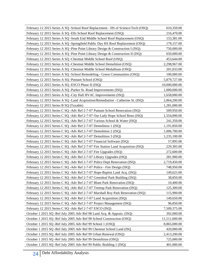| February 12 2015 Series A SQ -School Roof Replacement - HS of Science/Tech (OSQ)  | 610,350.00    |
|-----------------------------------------------------------------------------------|---------------|
| February 12 2015 Series A SQ -Ells School Roof Replacement (OSQ)                  | 216,470.00    |
| February 12 2015 Series A SQ -South End Middle School Roof Replacement (OSQ)      | 153,381.00    |
| February 12 2015 Series A SQ -Springfield Public Day HS Roof Replacement (OSQ)    | 179,157.00    |
| February 12 2015 Series A SQ -Pine Point Library Design & Construction I (ISQ)    | 750,000.00    |
| February 12 2015 Series A SQ -Pine Point Library Design & Construction II (ISQ)   | 650,000.00    |
| February 12 2015 Series A SQ -Chestnut Middle School Roof (OSQ)                   | 453,644.00    |
| February 12 2015 Series A SQ -Chestnut Middle School Demolition (OSQ)             | 2,298,967.00  |
| February 12 2015 Series A SQ - Chestnut Middle School Medallions (OSQ)            | 201,033.00    |
| February 12 2015 Series A SQ -School Remodeling - Green Communities (OSQ)         | 100,000.00    |
| February 12 2015 Series A SQ -Putnam School (OSQ)                                 | 5,879,727.00  |
| February 12 2015 Series A SQ -ESCO Phase II (ISQ)                                 | 10,000,000.00 |
| February 12 2015 Series A SQ -Parker St. Road Improvements (ISQ)                  | 1,000,000.00  |
| February 12 2015 Series A SQ -City Hall HVAC Improvements (ISQ)                   | 1,658,000.00  |
| February 12 2015 Series A SQ - Land Acquisition/Remediation - Catherine St. (ISQ) | 2,864,200.00  |
| February 12 2015 Series B SQ (Taxable)                                            | 1,281,000.00  |
| February 12 2015 Series C SQ - Adv Ref 2-7-07 Putnam School Renovation (ISQ)      | 509,950.00    |
| February 12 2015 Series C SQ -Adv Ref 2-7-07 Our Lady Hope School Reno (ISQ)      | 1,554,000.00  |
| February 12 2015 Series C SQ - Adv Ref 2-7-07 Various School & Water (ISQ)        | 241,350.00    |
| February 12 2015 Series C SQ - Adv Ref 2-7-07 Demolition 1 (ISQ)                  | 1,191,850.00  |
| February 12 2015 Series C SQ - Adv Ref 2-7-07 Demolition 2 (ISQ)                  | 1,006,700.00  |
| February 12 2015 Series C SQ - Adv Ref 2-7-07 Demolition 3 (ISQ)                  | 1,235,100.00  |
| February 12 2015 Series C SQ - Adv Ref 2-7-07 Financial Software (ISQ)            | 57,895.00     |
| February 12 2015 Series C SQ - Adv Ref 2-7-07 Fire Station Land Acquisition (ISQ) | 229,305.00    |
| February 12 2015 Series C SQ -Adv Ref 2-7-07 Fire Upgrades (ISQ)                  | 272,600.00    |
| February 12 2015 Series C SQ - Adv Ref 2-7-07 Library Upgrades (ISQ)              | 281,900.00    |
| February 12 2015 Series C SQ - Adv Ref 2-7-07 Police Dept Renovation (ISQ)        | 2,719,450.00  |
| February 12 2015 Series C SQ -Adv Ref 2-7-07 Police - Fire Design (ISQ)           | 748,950.00    |
| February 12 2015 Series C SQ - Adv Ref 2-7-07 Hope-Baptist Land Acq. (ISQ)        | 149,625.00    |
| February 12 2015 Series C SQ - Adv Ref 2-7-07 Greenleaf Park Building (ISQ)       | 38,850.00     |
| February 12 2015 Series C SQ -Adv Ref 2-7-07 Blunt Park Renovation (ISQ)          | 10,400.00     |
| February 12 2015 Series C SQ - Adv Ref 2-7-07 Treetop Park Renovation (ISQ)       | 125,300.00    |
| February 12 2015 Series C SQ - Adv Ref 2-7-07 Marshall Roy Park Renovation (ISQ)  | 115,900.00    |
| February 12 2015 Series C SQ - Adv Ref 2-7-07 Land Acquisition (ISQ)              | 149,650.00    |
| February 12 2015 Series C SQ -Adv Ref 2-7-07 Project Management (ISQ)             | 96,850.00     |
| February 12 2015 Series C SQ -Adv Ref 2-7-07 ESCO (ISQ)                           | 7,509,375.00  |
| October 1 2015 SQ -Ref July 2005 Adv Ref 98 Land Acq. & Apprais. (ISQ)            | 392,000.00    |
| October 1 2015 SQ -Ref July 2005 Adv Ref 98 School Construction (OSQ)             | 11,511,600.00 |
| October 1 2015 SQ -Ref July 2005 Adv Ref 99 School 1 (OSQ)                        | 8,865,000.00  |
| October 1 2015 SQ -Ref July 2005 Adv Ref 99 Chestnut School Land (ISQ             | 420,000.00    |
| October 1 2015 SQ -Ref July 2005 Adv Ref 99 Urban Renewal (OSQ)                   | 2,413,200.00  |
| October 1 2015 SQ -Ref July 2005 Adv Ref 99 Demolition (OSQ)                      | 725,000.00    |
| October 1 2015 SQ -Ref July 2005 Adv Ref 99 Public Building 1 (ISQ)               | 401,000.00    |